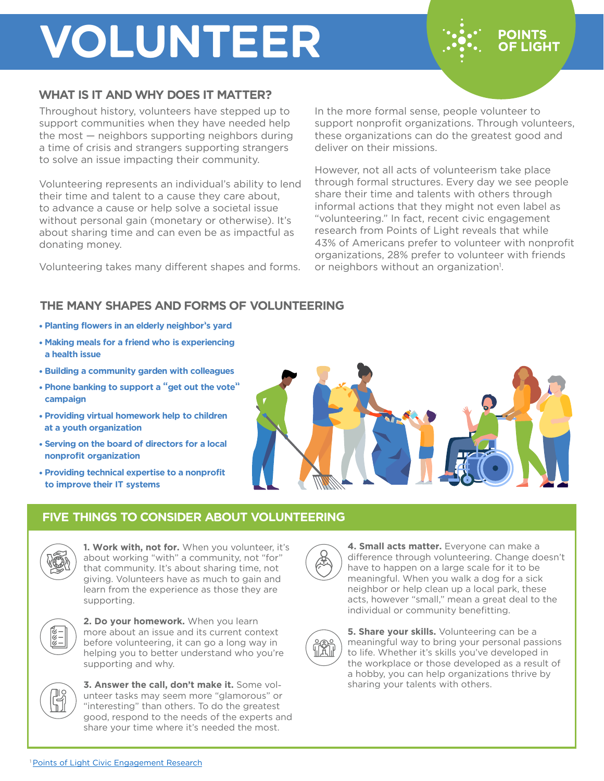# **VOLUNTEER**

### **WHAT IS IT AND WHY DOES IT MATTER?**

Throughout history, volunteers have stepped up to support communities when they have needed help the most — neighbors supporting neighbors during a time of crisis and strangers supporting strangers to solve an issue impacting their community.

Volunteering represents an individual's ability to lend their time and talent to a cause they care about, to advance a cause or help solve a societal issue without personal gain (monetary or otherwise). It's about sharing time and can even be as impactful as donating money.

Volunteering takes many different shapes and forms.

In the more formal sense, people volunteer to support nonprofit organizations. Through volunteers, these organizations can do the greatest good and deliver on their missions.

**POINTS OF LIGHT** 

However, not all acts of volunteerism take place through formal structures. Every day we see people share their time and talents with others through informal actions that they might not even label as "volunteering." In fact, recent civic engagement research from Points of Light reveals that while 43% of Americans prefer to volunteer with nonprofit organizations, 28% prefer to volunteer with friends or neighbors without an organization<sup>1</sup>.

### **THE MANY SHAPES AND FORMS OF VOLUNTEERING**

- **Planting flowers in an elderly neighbor's yard**
- **Making meals for a friend who is experiencing a health issue**
- **Building a community garden with colleagues**
- **Phone banking to support a "get out the vote" campaign**
- **Providing virtual homework help to children at a youth organization**
- **Serving on the board of directors for a local nonprofit organization**
- **Providing technical expertise to a nonprofit to improve their IT systems**

### **FIVE THINGS TO CONSIDER ABOUT VOLUNTEERING**



**1. Work with, not for.** When you volunteer, it's about working "with" a community, not "for" that community. It's about sharing time, not giving. Volunteers have as much to gain and learn from the experience as those they are supporting.



**2. Do your homework.** When you learn more about an issue and its current context before volunteering, it can go a long way in helping you to better understand who you're supporting and why.



**3. Answer the call, don't make it.** Some volunteer tasks may seem more "glamorous" or "interesting" than others. To do the greatest good, respond to the needs of the experts and share your time where it's needed the most.

**4. Small acts matter.** Everyone can make a difference through volunteering. Change doesn't have to happen on a large scale for it to be meaningful. When you walk a dog for a sick neighbor or help clean up a local park, these acts, however "small," mean a great deal to the individual or community benefitting.



**5. Share your skills.** Volunteering can be a meaningful way to bring your personal passions to life. Whether it's skills you've developed in the workplace or those developed as a result of a hobby, you can help organizations thrive by sharing your talents with others.